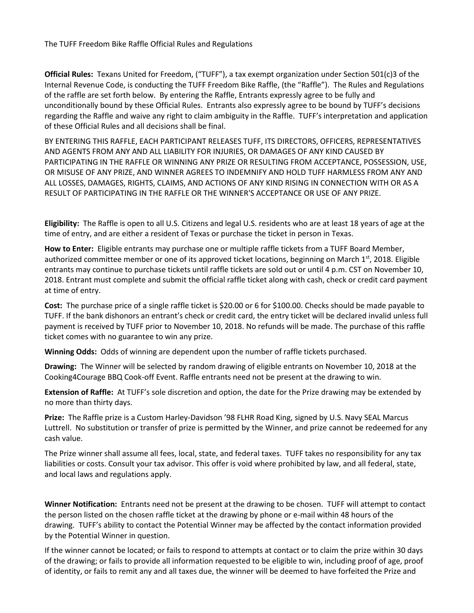The TUFF Freedom Bike Raffle Official Rules and Regulations

**Official Rules:** Texans United for Freedom, ("TUFF"), a tax exempt organization under Section 501(c)3 of the Internal Revenue Code, is conducting the TUFF Freedom Bike Raffle, (the "Raffle"). The Rules and Regulations of the raffle are set forth below. By entering the Raffle, Entrants expressly agree to be fully and unconditionally bound by these Official Rules. Entrants also expressly agree to be bound by TUFF's decisions regarding the Raffle and waive any right to claim ambiguity in the Raffle. TUFF's interpretation and application of these Official Rules and all decisions shall be final.

BY ENTERING THIS RAFFLE, EACH PARTICIPANT RELEASES TUFF, ITS DIRECTORS, OFFICERS, REPRESENTATIVES AND AGENTS FROM ANY AND ALL LIABILITY FOR INJURIES, OR DAMAGES OF ANY KIND CAUSED BY PARTICIPATING IN THE RAFFLE OR WINNING ANY PRIZE OR RESULTING FROM ACCEPTANCE, POSSESSION, USE, OR MISUSE OF ANY PRIZE, AND WINNER AGREES TO INDEMNIFY AND HOLD TUFF HARMLESS FROM ANY AND ALL LOSSES, DAMAGES, RIGHTS, CLAIMS, AND ACTIONS OF ANY KIND RISING IN CONNECTION WITH OR AS A RESULT OF PARTICIPATING IN THE RAFFLE OR THE WINNER'S ACCEPTANCE OR USE OF ANY PRIZE.

**Eligibility:** The Raffle is open to all U.S. Citizens and legal U.S. residents who are at least 18 years of age at the time of entry, and are either a resident of Texas or purchase the ticket in person in Texas.

**How to Enter:** Eligible entrants may purchase one or multiple raffle tickets from a TUFF Board Member, authorized committee member or one of its approved ticket locations, beginning on March  $1<sup>st</sup>$ , 2018. Eligible entrants may continue to purchase tickets until raffle tickets are sold out or until 4 p.m. CST on November 10, 2018. Entrant must complete and submit the official raffle ticket along with cash, check or credit card payment at time of entry.

**Cost:** The purchase price of a single raffle ticket is \$20.00 or 6 for \$100.00. Checks should be made payable to TUFF. If the bank dishonors an entrant's check or credit card, the entry ticket will be declared invalid unless full payment is received by TUFF prior to November 10, 2018. No refunds will be made. The purchase of this raffle ticket comes with no guarantee to win any prize.

**Winning Odds:** Odds of winning are dependent upon the number of raffle tickets purchased.

**Drawing:** The Winner will be selected by random drawing of eligible entrants on November 10, 2018 at the Cooking4Courage BBQ Cook-off Event. Raffle entrants need not be present at the drawing to win.

**Extension of Raffle:** At TUFF's sole discretion and option, the date for the Prize drawing may be extended by no more than thirty days.

**Prize:** The Raffle prize is a Custom Harley-Davidson '98 FLHR Road King, signed by U.S. Navy SEAL Marcus Luttrell. No substitution or transfer of prize is permitted by the Winner, and prize cannot be redeemed for any cash value.

The Prize winner shall assume all fees, local, state, and federal taxes. TUFF takes no responsibility for any tax liabilities or costs. Consult your tax advisor. This offer is void where prohibited by law, and all federal, state, and local laws and regulations apply.

**Winner Notification:** Entrants need not be present at the drawing to be chosen. TUFF will attempt to contact the person listed on the chosen raffle ticket at the drawing by phone or e-mail within 48 hours of the drawing. TUFF's ability to contact the Potential Winner may be affected by the contact information provided by the Potential Winner in question.

If the winner cannot be located; or fails to respond to attempts at contact or to claim the prize within 30 days of the drawing; or fails to provide all information requested to be eligible to win, including proof of age, proof of identity, or fails to remit any and all taxes due, the winner will be deemed to have forfeited the Prize and